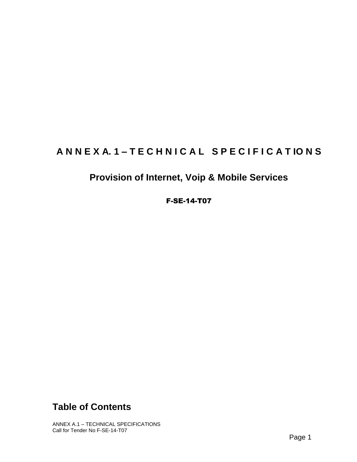# ANNEXA.1-TECHNICAL SPECIFICATIONS

# **Provision of Internet, Voip & Mobile Services**

## F-SE-14-T07

# **Table of Contents**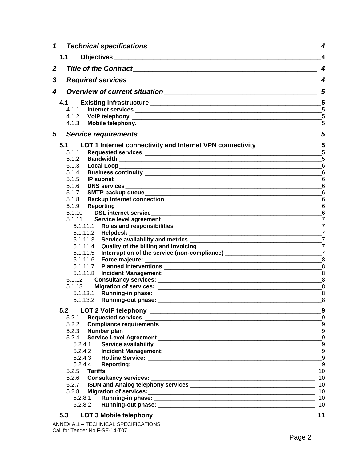| $\mathbf{1}$ |                                                                                                                                 | 4                        |
|--------------|---------------------------------------------------------------------------------------------------------------------------------|--------------------------|
|              | 1.1                                                                                                                             | 4                        |
| $\mathbf{2}$ |                                                                                                                                 | $\overline{\mathcal{A}}$ |
| 3            |                                                                                                                                 | $\overline{\mathbf{4}}$  |
| 4            |                                                                                                                                 | 5                        |
|              | 4.1                                                                                                                             |                          |
|              | 4.1.1                                                                                                                           |                          |
|              |                                                                                                                                 | 5                        |
|              |                                                                                                                                 | 5                        |
| 5            |                                                                                                                                 |                          |
|              | LOT 1 Internet connectivity and Internet VPN connectivity __________________5<br>5.1                                            |                          |
|              | 5.1.1                                                                                                                           |                          |
|              | 5.1.2                                                                                                                           |                          |
|              | 5.1.3<br>Local Loop <u>Commission and Commission and Commission and Commission and Commission and Commission and Commission</u> | 6                        |
|              | 5.1.4                                                                                                                           | $6\phantom{1}6$          |
|              | 5.1.5                                                                                                                           | $6\phantom{1}6$          |
|              | 5.1.6                                                                                                                           | $6\phantom{1}6$          |
|              | 5.1.7                                                                                                                           | 6                        |
|              | 5.1.8                                                                                                                           | 6                        |
|              | 5.1.9                                                                                                                           |                          |
|              | 5.1.10                                                                                                                          |                          |
|              | 5.1.11                                                                                                                          |                          |
|              |                                                                                                                                 |                          |
|              | 5.1.11.2 Helpdesk __________<br>7                                                                                               |                          |
|              |                                                                                                                                 |                          |
|              | 5.1.11.4                                                                                                                        |                          |
|              |                                                                                                                                 |                          |
|              |                                                                                                                                 | 8                        |
|              |                                                                                                                                 | 8                        |
|              |                                                                                                                                 |                          |
|              | 5.1.12                                                                                                                          |                          |
|              |                                                                                                                                 |                          |
|              |                                                                                                                                 | 8                        |
|              | 5.1.13.2 Running-out phase: _______                                                                                             | 8                        |
|              | 5.2                                                                                                                             |                          |
|              |                                                                                                                                 |                          |
|              |                                                                                                                                 |                          |
|              |                                                                                                                                 |                          |
|              |                                                                                                                                 |                          |
|              |                                                                                                                                 |                          |
|              |                                                                                                                                 | 9                        |
|              | 5.2.4.4                                                                                                                         | 9                        |
|              | 5.2.5 Tariffs _________                                                                                                         | 10                       |
|              |                                                                                                                                 |                          |
|              |                                                                                                                                 |                          |
|              | 5.2.8                                                                                                                           |                          |
|              |                                                                                                                                 | 10                       |
|              | 5.2.8.2                                                                                                                         | 10                       |
|              |                                                                                                                                 |                          |
|              | 5.3<br>T                                                                                                                        | 11                       |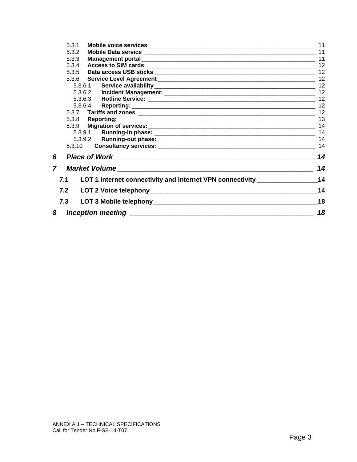|   | 5.3.1  |                                                                                  | 11 |
|---|--------|----------------------------------------------------------------------------------|----|
|   | 5.3.2  |                                                                                  |    |
|   | 5.3.3  |                                                                                  |    |
|   | 5.3.4  |                                                                                  | 12 |
|   | 5.3.5  |                                                                                  |    |
|   |        |                                                                                  | 12 |
|   |        | 5.3.6.1                                                                          |    |
|   |        |                                                                                  | 12 |
|   |        |                                                                                  |    |
|   |        | 5.3.6.4                                                                          |    |
|   |        |                                                                                  |    |
|   |        |                                                                                  |    |
|   |        |                                                                                  | 14 |
|   |        |                                                                                  | 14 |
|   |        |                                                                                  | 14 |
|   | 5.3.10 |                                                                                  | 14 |
| 6 |        |                                                                                  | 14 |
| 7 |        |                                                                                  | 14 |
|   | 7.1    | LOT 1 Internet connectivity and Internet VPN connectivity ______________________ | 14 |
|   | 7.2    |                                                                                  | 14 |
|   | 7.3    |                                                                                  | 18 |
| 8 |        |                                                                                  | 18 |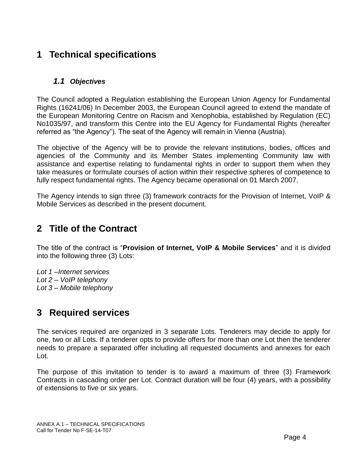# <span id="page-3-0"></span>**1 Technical specifications**

## <span id="page-3-1"></span>*1.1 Objectives*

The Council adopted a Regulation establishing the European Union Agency for Fundamental Rights (16241/06) In December 2003, the European Council agreed to extend the mandate of the European Monitoring Centre on Racism and Xenophobia, established by Regulation (EC) No1035/97, and transform this Centre into the EU Agency for Fundamental Rights (hereafter referred as "the Agency"). The seat of the Agency will remain in Vienna (Austria).

The objective of the Agency will be to provide the relevant institutions, bodies, offices and agencies of the Community and its Member States implementing Community law with assistance and expertise relating to fundamental rights in order to support them when they take measures or formulate courses of action within their respective spheres of competence to fully respect fundamental rights. The Agency became operational on 01 March 2007.

The Agency intends to sign three (3) framework contracts for the Provision of Internet, VoIP & Mobile Services as described in the present document.

# <span id="page-3-2"></span>**2 Title of the Contract**

The title of the contract is "**Provision of Internet, VoIP & Mobile Services**" and it is divided into the following three (3) Lots:

*Lot 1 –Internet services Lot 2 – VoIP telephony Lot 3 – Mobile telephony*

# <span id="page-3-3"></span>**3 Required services**

The services required are organized in 3 separate Lots. Tenderers may decide to apply for one, two or all Lots. If a tenderer opts to provide offers for more than one Lot then the tenderer needs to prepare a separated offer including all requested documents and annexes for each Lot.

The purpose of this invitation to tender is to award a maximum of three (3) Framework Contracts in cascading order per Lot. Contract duration will be four (4) years, with a possibility of extensions to five or six years.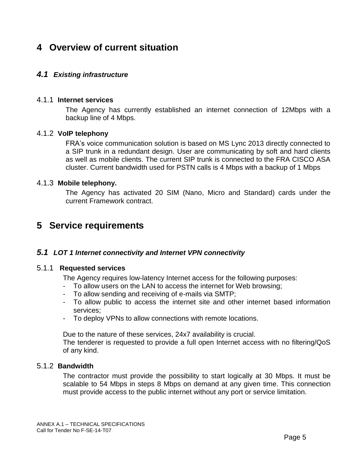# <span id="page-4-0"></span>**4 Overview of current situation**

## <span id="page-4-1"></span>*4.1 Existing infrastructure*

#### <span id="page-4-2"></span>4.1.1 **Internet services**

The Agency has currently established an internet connection of 12Mbps with a backup line of 4 Mbps.

#### <span id="page-4-3"></span>4.1.2 **VoIP telephony**

FRA's voice communication solution is based on MS Lync 2013 directly connected to a SIP trunk in a redundant design. User are communicating by soft and hard clients as well as mobile clients. The current SIP trunk is connected to the FRA CISCO ASA cluster. Current bandwidth used for PSTN calls is 4 Mbps with a backup of 1 Mbps

#### <span id="page-4-4"></span>4.1.3 **Mobile telephony.**

The Agency has activated 20 SIM (Nano, Micro and Standard) cards under the current Framework contract.

## <span id="page-4-5"></span>**5 Service requirements**

#### <span id="page-4-6"></span>*5.1 LOT 1 Internet connectivity and Internet VPN connectivity*

#### 5.1.1 **Requested services**

<span id="page-4-7"></span>The Agency requires low-latency Internet access for the following purposes:

- To allow users on the LAN to access the internet for Web browsing;
- To allow sending and receiving of e-mails via SMTP;
- To allow public to access the internet site and other internet based information services;
- To deploy VPNs to allow connections with remote locations.

Due to the nature of these services, 24x7 availability is crucial.

The tenderer is requested to provide a full open Internet access with no filtering/QoS of any kind.

## <span id="page-4-8"></span>5.1.2 **Bandwidth**

The contractor must provide the possibility to start logically at 30 Mbps. It must be scalable to 54 Mbps in steps 8 Mbps on demand at any given time. This connection must provide access to the public internet without any port or service limitation.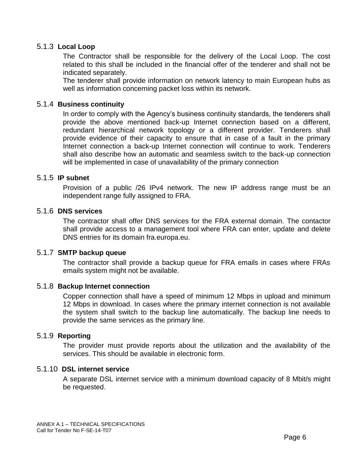## <span id="page-5-0"></span>5.1.3 **Local Loop**

The Contractor shall be responsible for the delivery of the Local Loop. The cost related to this shall be included in the financial offer of the tenderer and shall not be indicated separately.

The tenderer shall provide information on network latency to main European hubs as well as information concerning packet loss within its network.

#### <span id="page-5-1"></span>5.1.4 **Business continuity**

In order to comply with the Agency's business continuity standards, the tenderers shall provide the above mentioned back-up Internet connection based on a different, redundant hierarchical network topology or a different provider. Tenderers shall provide evidence of their capacity to ensure that in case of a fault in the primary Internet connection a back-up Internet connection will continue to work. Tenderers shall also describe how an automatic and seamless switch to the back-up connection will be implemented in case of unavailability of the primary connection

#### <span id="page-5-2"></span>5.1.5 **IP subnet**

Provision of a public /26 IPv4 network. The new IP address range must be an independent range fully assigned to FRA.

#### <span id="page-5-3"></span>5.1.6 **DNS services**

The contractor shall offer DNS services for the FRA external domain. The contactor shall provide access to a management tool where FRA can enter, update and delete DNS entries for its domain fra.europa.eu.

#### <span id="page-5-4"></span>5.1.7 **SMTP backup queue**

The contractor shall provide a backup queue for FRA emails in cases where FRAs emails system might not be available.

#### <span id="page-5-5"></span>5.1.8 **Backup Internet connection**

Copper connection shall have a speed of minimum 12 Mbps in upload and minimum 12 Mbps in download. In cases where the primary internet connection is not available the system shall switch to the backup line automatically. The backup line needs to provide the same services as the primary line.

#### <span id="page-5-6"></span>5.1.9 **Reporting**

The provider must provide reports about the utilization and the availability of the services. This should be available in electronic form.

#### <span id="page-5-7"></span>5.1.10 **DSL internet service**

A separate DSL internet service with a minimum download capacity of 8 Mbit/s might be requested.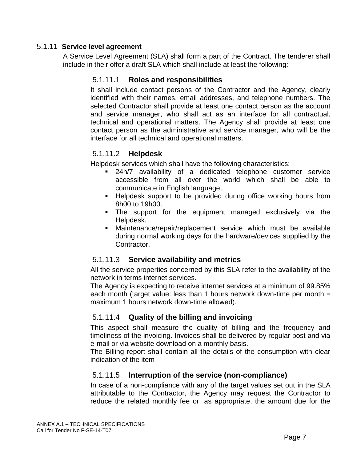## <span id="page-6-1"></span><span id="page-6-0"></span>5.1.11 **Service level agreement**

A Service Level Agreement (SLA) shall form a part of the Contract. The tenderer shall include in their offer a draft SLA which shall include at least the following:

## 5.1.11.1 **Roles and responsibilities**

It shall include contact persons of the Contractor and the Agency, clearly identified with their names, email addresses, and telephone numbers. The selected Contractor shall provide at least one contact person as the account and service manager, who shall act as an interface for all contractual, technical and operational matters. The Agency shall provide at least one contact person as the administrative and service manager, who will be the interface for all technical and operational matters.

## <span id="page-6-2"></span>5.1.11.2 **Helpdesk**

Helpdesk services which shall have the following characteristics:

- 24h/7 availability of a dedicated telephone customer service accessible from all over the world which shall be able to communicate in English language,
- **Helpdesk support to be provided during office working hours from** 8h00 to 19h00.
- The support for the equipment managed exclusively via the Helpdesk.
- Maintenance/repair/replacement service which must be available during normal working days for the hardware/devices supplied by the Contractor.

## <span id="page-6-3"></span>5.1.11.3 **Service availability and metrics**

All the service properties concerned by this SLA refer to the availability of the network in terms internet services.

The Agency is expecting to receive internet services at a minimum of 99.85% each month (target value: less than 1 hours network down-time per month = maximum 1 hours network down-time allowed).

## <span id="page-6-4"></span>5.1.11.4 **Quality of the billing and invoicing**

This aspect shall measure the quality of billing and the frequency and timeliness of the invoicing. Invoices shall be delivered by regular post and via e-mail or via website download on a monthly basis.

The Billing report shall contain all the details of the consumption with clear indication of the item

## <span id="page-6-5"></span>5.1.11.5 **Interruption of the service (non-compliance)**

In case of a non-compliance with any of the target values set out in the SLA attributable to the Contractor, the Agency may request the Contractor to reduce the related monthly fee or, as appropriate, the amount due for the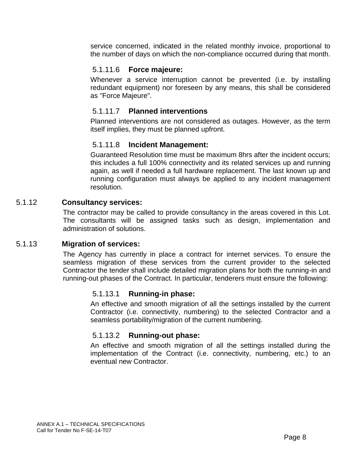service concerned, indicated in the related monthly invoice, proportional to the number of days on which the non-compliance occurred during that month.

## <span id="page-7-0"></span>5.1.11.6 **Force majeure:**

Whenever a service interruption cannot be prevented (i.e. by installing redundant equipment) nor foreseen by any means, this shall be considered as "Force Majeure".

## <span id="page-7-1"></span>5.1.11.7 **Planned interventions**

Planned interventions are not considered as outages. However, as the term itself implies, they must be planned upfront.

## <span id="page-7-2"></span>5.1.11.8 **Incident Management:**

Guaranteed Resolution time must be maximum 8hrs after the incident occurs; this includes a full 100% connectivity and its related services up and running again, as well if needed a full hardware replacement. The last known up and running configuration must always be applied to any incident management resolution.

## <span id="page-7-3"></span>5.1.12 **Consultancy services:**

The contractor may be called to provide consultancy in the areas covered in this Lot. The consultants will be assigned tasks such as design, implementation and administration of solutions.

#### <span id="page-7-4"></span>5.1.13 **Migration of services:**

<span id="page-7-5"></span>The Agency has currently in place a contract for internet services. To ensure the seamless migration of these services from the current provider to the selected Contractor the tender shall include detailed migration plans for both the running-in and running-out phases of the Contract. In particular, tenderers must ensure the following:

## 5.1.13.1 **Running-in phase:**

An effective and smooth migration of all the settings installed by the current Contractor (i.e. connectivity, numbering) to the selected Contractor and a seamless portability/migration of the current numbering.

#### 5.1.13.2 **Running-out phase:**

<span id="page-7-6"></span>An effective and smooth migration of all the settings installed during the implementation of the Contract (i.e. connectivity, numbering, etc.) to an eventual new Contractor.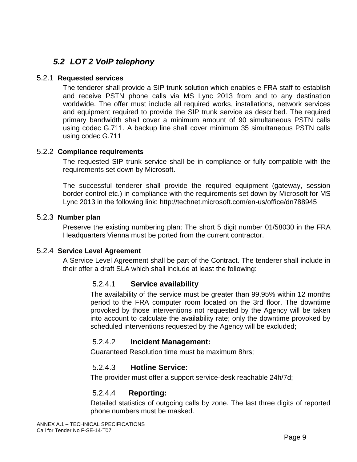## <span id="page-8-0"></span>*5.2 LOT 2 VoIP telephony*

## <span id="page-8-1"></span>5.2.1 **Requested services**

The tenderer shall provide a SIP trunk solution which enables e FRA staff to establish and receive PSTN phone calls via MS Lync 2013 from and to any destination worldwide. The offer must include all required works, installations, network services and equipment required to provide the SIP trunk service as described. The required primary bandwidth shall cover a minimum amount of 90 simultaneous PSTN calls using codec G.711. A backup line shall cover minimum 35 simultaneous PSTN calls using codec G.711

## <span id="page-8-2"></span>5.2.2 **Compliance requirements**

The requested SIP trunk service shall be in compliance or fully compatible with the requirements set down by Microsoft.

The successful tenderer shall provide the required equipment (gateway, session border control etc.) in compliance with the requirements set down by Microsoft for MS Lync 2013 in the following link:<http://technet.microsoft.com/en-us/office/dn788945>

## <span id="page-8-3"></span>5.2.3 **Number plan**

Preserve the existing numbering plan: The short 5 digit number 01/58030 in the FRA Headquarters Vienna must be ported from the current contractor.

#### <span id="page-8-4"></span>5.2.4 **Service Level Agreement**

A Service Level Agreement shall be part of the Contract. The tenderer shall include in their offer a draft SLA which shall include at least the following:

## <span id="page-8-5"></span>5.2.4.1 **Service availability**

The availability of the service must be greater than 99,95% within 12 months period to the FRA computer room located on the 3rd floor. The downtime provoked by those interventions not requested by the Agency will be taken into account to calculate the availability rate; only the downtime provoked by scheduled interventions requested by the Agency will be excluded;

## <span id="page-8-6"></span>5.2.4.2 **Incident Management:**

Guaranteed Resolution time must be maximum 8hrs;

## <span id="page-8-7"></span>5.2.4.3 **Hotline Service:**

<span id="page-8-8"></span>The provider must offer a support service-desk reachable 24h/7d;

## 5.2.4.4 **Reporting:**

Detailed statistics of outgoing calls by zone. The last three digits of reported phone numbers must be masked.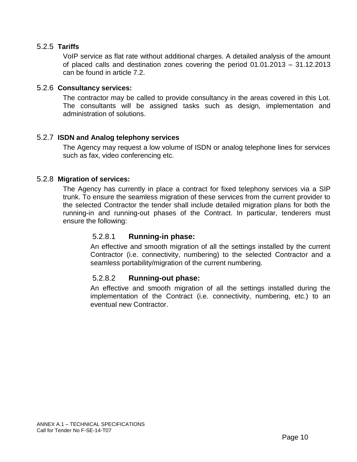#### <span id="page-9-0"></span>5.2.5 **Tariffs**

VoIP service as flat rate without additional charges. A detailed analysis of the amount of placed calls and destination zones covering the period 01.01.2013 – 31.12.2013 can be found in article 7.2.

#### <span id="page-9-1"></span>5.2.6 **Consultancy services:**

The contractor may be called to provide consultancy in the areas covered in this Lot. The consultants will be assigned tasks such as design, implementation and administration of solutions.

#### <span id="page-9-2"></span>5.2.7 **ISDN and Analog telephony services**

The Agency may request a low volume of ISDN or analog telephone lines for services such as fax, video conferencing etc.

#### <span id="page-9-3"></span>5.2.8 **Migration of services:**

<span id="page-9-4"></span>The Agency has currently in place a contract for fixed telephony services via a SIP trunk. To ensure the seamless migration of these services from the current provider to the selected Contractor the tender shall include detailed migration plans for both the running-in and running-out phases of the Contract. In particular, tenderers must ensure the following:

#### 5.2.8.1 **Running-in phase:**

An effective and smooth migration of all the settings installed by the current Contractor (i.e. connectivity, numbering) to the selected Contractor and a seamless portability/migration of the current numbering.

#### <span id="page-9-5"></span>5.2.8.2 **Running-out phase:**

An effective and smooth migration of all the settings installed during the implementation of the Contract (i.e. connectivity, numbering, etc.) to an eventual new Contractor.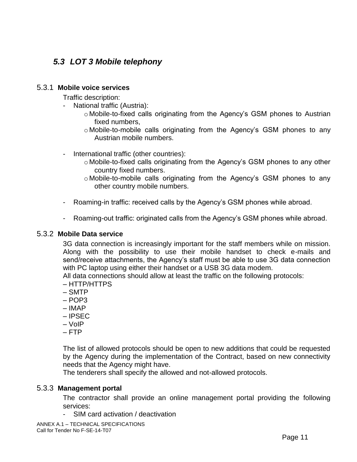## <span id="page-10-0"></span>*5.3 LOT 3 Mobile telephony*

#### <span id="page-10-1"></span>5.3.1 **Mobile voice services**

Traffic description:

- National traffic (Austria):
	- o Mobile-to-fixed calls originating from the Agency's GSM phones to Austrian fixed numbers,
	- o Mobile-to-mobile calls originating from the Agency's GSM phones to any Austrian mobile numbers.
- International traffic (other countries):
	- o Mobile-to-fixed calls originating from the Agency's GSM phones to any other country fixed numbers.
	- o Mobile-to-mobile calls originating from the Agency's GSM phones to any other country mobile numbers.
- Roaming-in traffic: received calls by the Agency's GSM phones while abroad.
- Roaming-out traffic: originated calls from the Agency's GSM phones while abroad.

#### <span id="page-10-2"></span>5.3.2 **Mobile Data service**

3G data connection is increasingly important for the staff members while on mission. Along with the possibility to use their mobile handset to check e-mails and send/receive attachments, the Agency's staff must be able to use 3G data connection with PC laptop using either their handset or a USB 3G data modem.

All data connections should allow at least the traffic on the following protocols:

- HTTP/HTTPS
- SMTP
- POP3
- IMAP
- IPSEC
- VoIP
- FTP

The list of allowed protocols should be open to new additions that could be requested by the Agency during the implementation of the Contract, based on new connectivity needs that the Agency might have.

The tenderers shall specify the allowed and not-allowed protocols.

#### <span id="page-10-3"></span>5.3.3 **Management portal**

The contractor shall provide an online management portal providing the following services:

- SIM card activation / deactivation
- ANNEX A.1 TECHNICAL SPECIFICATIONS Call for Tender No F-SE-14-T07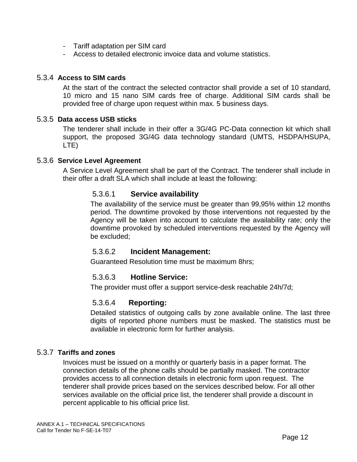- Tariff adaptation per SIM card
- Access to detailed electronic invoice data and volume statistics.

#### <span id="page-11-0"></span>5.3.4 **Access to SIM cards**

At the start of the contract the selected contractor shall provide a set of 10 standard, 10 micro and 15 nano SIM cards free of charge. Additional SIM cards shall be provided free of charge upon request within max. 5 business days.

#### <span id="page-11-1"></span>5.3.5 **Data access USB sticks**

The tenderer shall include in their offer a 3G/4G PC-Data connection kit which shall support, the proposed 3G/4G data technology standard (UMTS, HSDPA/HSUPA, LTE)

#### <span id="page-11-2"></span>5.3.6 **Service Level Agreement**

A Service Level Agreement shall be part of the Contract. The tenderer shall include in their offer a draft SLA which shall include at least the following:

#### <span id="page-11-3"></span>5.3.6.1 **Service availability**

The availability of the service must be greater than 99,95% within 12 months period. The downtime provoked by those interventions not requested by the Agency will be taken into account to calculate the availability rate; only the downtime provoked by scheduled interventions requested by the Agency will be excluded;

#### <span id="page-11-4"></span>5.3.6.2 **Incident Management:**

Guaranteed Resolution time must be maximum 8hrs;

#### <span id="page-11-5"></span>5.3.6.3 **Hotline Service:**

<span id="page-11-6"></span>The provider must offer a support service-desk reachable 24h/7d;

#### 5.3.6.4 **Reporting:**

Detailed statistics of outgoing calls by zone available online. The last three digits of reported phone numbers must be masked. The statistics must be available in electronic form for further analysis.

#### <span id="page-11-7"></span>5.3.7 **Tariffs and zones**

Invoices must be issued on a monthly or quarterly basis in a paper format. The connection details of the phone calls should be partially masked. The contractor provides access to all connection details in electronic form upon request. The tenderer shall provide prices based on the services described below. For all other services available on the official price list, the tenderer shall provide a discount in percent applicable to his official price list.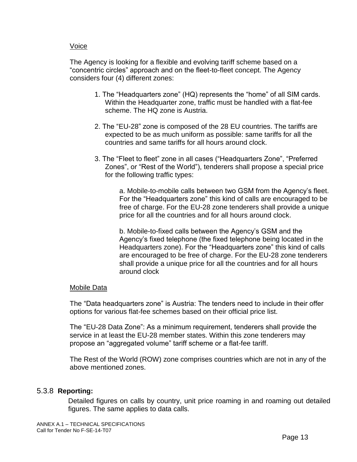#### Voice

The Agency is looking for a flexible and evolving tariff scheme based on a "concentric circles" approach and on the fleet-to-fleet concept. The Agency considers four (4) different zones:

- 1. The "Headquarters zone" (HQ) represents the "home" of all SIM cards. Within the Headquarter zone, traffic must be handled with a flat-fee scheme. The HQ zone is Austria.
- 2. The "EU-28" zone is composed of the 28 EU countries. The tariffs are expected to be as much uniform as possible: same tariffs for all the countries and same tariffs for all hours around clock.
- 3. The "Fleet to fleet" zone in all cases ("Headquarters Zone", "Preferred Zones", or "Rest of the World"), tenderers shall propose a special price for the following traffic types:

a. Mobile-to-mobile calls between two GSM from the Agency's fleet. For the "Headquarters zone" this kind of calls are encouraged to be free of charge. For the EU-28 zone tenderers shall provide a unique price for all the countries and for all hours around clock.

b. Mobile-to-fixed calls between the Agency's GSM and the Agency's fixed telephone (the fixed telephone being located in the Headquarters zone). For the "Headquarters zone" this kind of calls are encouraged to be free of charge. For the EU-28 zone tenderers shall provide a unique price for all the countries and for all hours around clock

#### Mobile Data

The "Data headquarters zone" is Austria: The tenders need to include in their offer options for various flat-fee schemes based on their official price list.

The "EU-28 Data Zone": As a minimum requirement, tenderers shall provide the service in at least the EU-28 member states. Within this zone tenderers may propose an "aggregated volume" tariff scheme or a flat-fee tariff.

The Rest of the World (ROW) zone comprises countries which are not in any of the above mentioned zones.

#### <span id="page-12-0"></span>5.3.8 **Reporting:**

Detailed figures on calls by country, unit price roaming in and roaming out detailed figures. The same applies to data calls.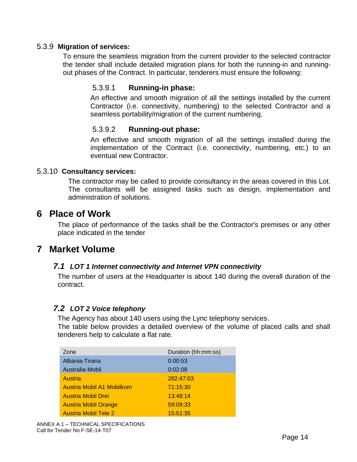## <span id="page-13-1"></span><span id="page-13-0"></span>5.3.9 **Migration of services:**

To ensure the seamless migration from the current provider to the selected contractor the tender shall include detailed migration plans for both the running-in and runningout phases of the Contract. In particular, tenderers must ensure the following:

## 5.3.9.1 **Running-in phase:**

An effective and smooth migration of all the settings installed by the current Contractor (i.e. connectivity, numbering) to the selected Contractor and a seamless portability/migration of the current numbering.

## 5.3.9.2 **Running-out phase:**

An effective and smooth migration of all the settings installed during the implementation of the Contract (i.e. connectivity, numbering, etc.) to an eventual new Contractor.

#### <span id="page-13-3"></span><span id="page-13-2"></span>5.3.10 **Consultancy services:**

The contractor may be called to provide consultancy in the areas covered in this Lot. The consultants will be assigned tasks such as design, implementation and administration of solutions.

## <span id="page-13-4"></span>**6 Place of Work**

The place of performance of the tasks shall be the Contractor's premises or any other place indicated in the tender

## <span id="page-13-6"></span><span id="page-13-5"></span>**7 Market Volume**

## *7.1 LOT 1 Internet connectivity and Internet VPN connectivity*

The number of users at the Headquarter is about 140 during the overall duration of the contract.

## <span id="page-13-7"></span>*7.2 LOT 2 Voice telephony*

The Agency has about 140 users using the Lync telephony services.

The table below provides a detailed overview of the volume of placed calls and shall tenderers help to calculate a flat rate.

| Zone                        | Duration (hh:mm:ss) |
|-----------------------------|---------------------|
| Albania-Tirana              | 0:00:53             |
| Australia-Mobil             | 0:02:08             |
| Austria                     | 282:47:03           |
| Austria Mobil A1 Mobilkom   | 71:15:30            |
| <b>Austria Mobil Drei</b>   | 13:48:14            |
| <b>Austria Mobil Orange</b> | 59:09:33            |
| <b>Austria Mobil Tele 2</b> | 15:51:35            |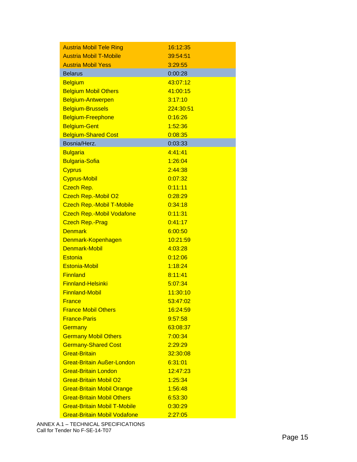| <b>Austria Mobil Tele Ring</b>      | 16:12:35  |
|-------------------------------------|-----------|
| <b>Austria Mobil T-Mobile</b>       | 39:54:51  |
| <b>Austria Mobil Yess</b>           | 3:29:55   |
| <b>Belarus</b>                      | 0:00:28   |
| <b>Belgium</b>                      | 43:07:12  |
| <b>Belgium Mobil Others</b>         | 41:00:15  |
| Belgium-Antwerpen                   | 3:17:10   |
| <b>Belgium-Brussels</b>             | 224:30:51 |
| Belgium-Freephone                   | 0:16:26   |
| <b>Belgium-Gent</b>                 | 1:52:36   |
| <b>Belgium-Shared Cost</b>          | 0:08:35   |
| Bosnia/Herz.                        | 0:03:33   |
| <b>Bulgaria</b>                     | 4:41:41   |
| <b>Bulgaria-Sofia</b>               | 1:26:04   |
| <b>Cyprus</b>                       | 2:44:38   |
| <b>Cyprus-Mobil</b>                 | 0:07:32   |
| Czech Rep.                          | 0:11:11   |
| <b>Czech Rep.-Mobil O2</b>          | 0:28:29   |
| <b>Czech Rep.-Mobil T-Mobile</b>    | 0:34:18   |
| <b>Czech Rep.-Mobil Vodafone</b>    | 0:11:31   |
| <b>Czech Rep.-Prag</b>              | 0:41:17   |
| <b>Denmark</b>                      | 6:00:50   |
| Denmark-Kopenhagen                  | 10:21:59  |
| Denmark-Mobil                       | 4:03:28   |
| <b>Estonia</b>                      | 0:12:06   |
| <b>Estonia-Mobil</b>                | 1:18:24   |
| <b>Finnland</b>                     | 8:11:41   |
| <b>Finnland-Helsinki</b>            | 5:07:34   |
| <b>Finnland-Mobil</b>               | 11:30:10  |
| <b>France</b>                       | 53:47:02  |
| <b>France Mobil Others</b>          | 16:24:59  |
| <b>France-Paris</b>                 | 9:57:58   |
| Germany                             | 63:08:37  |
| <b>Germany Mobil Others</b>         | 7:00:34   |
| <b>Germany-Shared Cost</b>          | 2:29:29   |
| <b>Great-Britain</b>                | 32:30:08  |
| <b>Great-Britain Außer-London</b>   | 6:31:01   |
| <b>Great-Britain London</b>         | 12:47:23  |
| <b>Great-Britain Mobil O2</b>       | 1:25:34   |
| <b>Great-Britain Mobil Orange</b>   | 1:56:48   |
| <b>Great-Britain Mobil Others</b>   | 6:53:30   |
| <b>Great-Britain Mobil T-Mobile</b> | 0:30:29   |
| <b>Great-Britain Mobil Vodafone</b> | 2:27:05   |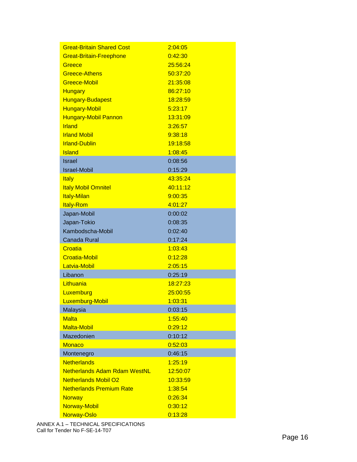| <b>Great-Britain Shared Cost</b>    | 2:04:05  |
|-------------------------------------|----------|
| <b>Great-Britain-Freephone</b>      | 0:42:30  |
| Greece                              | 25:56:24 |
| <b>Greece-Athens</b>                | 50:37:20 |
| Greece-Mobil                        | 21:35:08 |
| <b>Hungary</b>                      | 86:27:10 |
| <b>Hungary-Budapest</b>             | 18:28:59 |
| <b>Hungary-Mobil</b>                | 5:23:17  |
| <b>Hungary-Mobil Pannon</b>         | 13:31:09 |
| <b>Irland</b>                       | 3:26:57  |
| <b>Irland Mobil</b>                 | 9:38:18  |
| <b>Irland-Dublin</b>                | 19:18:58 |
| <b>Island</b>                       | 1:08:45  |
| <b>Israel</b>                       | 0:08:56  |
| <b>Israel-Mobil</b>                 | 0:15:29  |
| <b>Italy</b>                        | 43:35:24 |
| <b>Italy Mobil Omnitel</b>          | 40:11:12 |
| <b>Italy-Milan</b>                  | 9:00:35  |
| <b>Italy-Rom</b>                    | 4:01:27  |
| Japan-Mobil                         | 0:00:02  |
| Japan-Tokio                         | 0:08:35  |
| Kambodscha-Mobil                    | 0:02:40  |
| <b>Canada Rural</b>                 | 0:17:24  |
| Croatia                             | 1:03:43  |
| <b>Croatia-Mobil</b>                | 0:12:28  |
| Latvia-Mobil                        | 2:05:15  |
| Libanon                             | 0:25:19  |
| Lithuania                           | 18:27:23 |
| Luxemburg                           | 25:00:55 |
| Luxemburg-Mobil                     | 1:03:31  |
| Malaysia                            | 0:03:15  |
| <b>Malta</b>                        | 1:55:40  |
| <b>Malta-Mobil</b>                  | 0:29:12  |
| Mazedonien                          | 0:10:12  |
| <b>Monaco</b>                       | 0:52:03  |
| Montenegro                          | 0:46:15  |
| <b>Netherlands</b>                  | 1:25:19  |
| <b>Netherlands Adam Rdam WestNL</b> | 12:50:07 |
| <b>Netherlands Mobil O2</b>         | 10:33:59 |
| <b>Netherlands Premium Rate</b>     | 1:38:54  |
| <b>Norway</b>                       | 0:26:34  |
| <b>Norway-Mobil</b>                 | 0:30:12  |
| Norway-Oslo                         | 0:13:28  |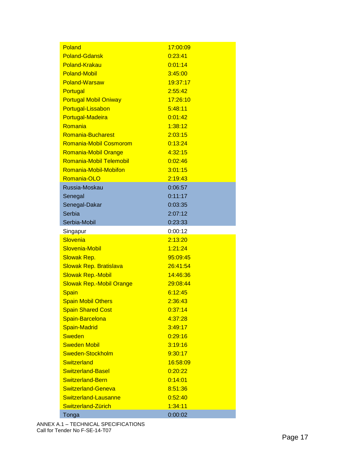| Poland                          | 17:00:09 |
|---------------------------------|----------|
| <b>Poland-Gdansk</b>            | 0:23:41  |
| Poland-Krakau                   | 0:01:14  |
| <b>Poland-Mobil</b>             | 3:45:00  |
| Poland-Warsaw                   | 19:37:17 |
| Portugal                        | 2:55:42  |
| <b>Portugal Mobil Oniway</b>    | 17:26:10 |
| Portugal-Lissabon               | 5:48:11  |
| Portugal-Madeira                | 0:01:42  |
| Romania                         | 1:38:12  |
| <b>Romania-Bucharest</b>        | 2:03:15  |
| Romania-Mobil Cosmorom          | 0:13:24  |
| Romania-Mobil Orange            | 4:32:15  |
| Romania-Mobil Telemobil         | 0:02:46  |
| Romania-Mobil-Mobifon           | 3:01:15  |
| Romania-OLO                     | 2:19:43  |
| Russia-Moskau                   | 0:06:57  |
| Senegal                         | 0:11:17  |
| Senegal-Dakar                   | 0:03:35  |
| Serbia                          | 2:07:12  |
| Serbia-Mobil                    | 0:23:33  |
| Singapur                        | 0:00:12  |
| Slovenia                        | 2:13:20  |
| Slovenia-Mobil                  | 1:21:24  |
| <b>Slowak Rep.</b>              | 95:09:45 |
| <b>Slowak Rep. Bratislava</b>   | 26:41:54 |
| <b>Slowak Rep.-Mobil</b>        | 14:46:36 |
| <b>Slowak Rep.-Mobil Orange</b> | 29:08:44 |
| <b>Spain</b>                    | 6:12:45  |
| <b>Spain Mobil Others</b>       | 2:36:43  |
|                                 |          |
| <b>Spain Shared Cost</b>        | 0:37:14  |
| Spain-Barcelona                 | 4:37:28  |
| <b>Spain-Madrid</b>             | 3:49:17  |
| <b>Sweden</b>                   | 0:29:16  |
| <b>Sweden Mobil</b>             | 3:19:16  |
| Sweden-Stockholm                | 9:30:17  |
| Switzerland                     | 16:58:09 |
| <b>Switzerland-Basel</b>        | 0:20:22  |
| <b>Switzerland-Bern</b>         | 0:14:01  |
| Switzerland-Geneva              | 8:51:36  |
| Switzerland-Lausanne            | 0:52:40  |
| Switzerland-Zürich              | 1:34:11  |